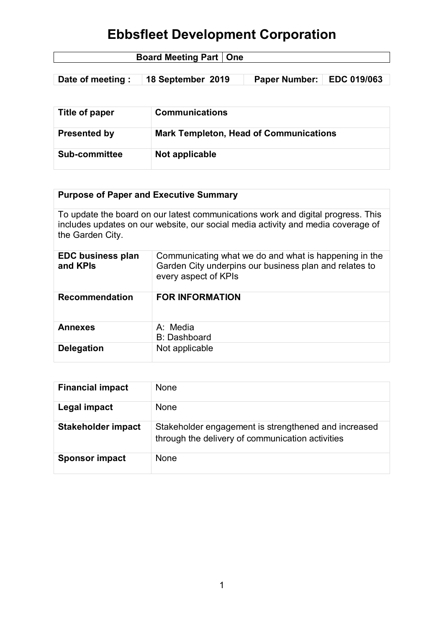| <b>Board Meeting Part   One</b> |  |
|---------------------------------|--|
|                                 |  |

| Date of meeting :   18 September 2019 | Paper Number:   EDC 019/063 |  |
|---------------------------------------|-----------------------------|--|
|                                       |                             |  |

| Title of paper       | <b>Communications</b>                         |
|----------------------|-----------------------------------------------|
| <b>Presented by</b>  | <b>Mark Templeton, Head of Communications</b> |
| <b>Sub-committee</b> | Not applicable                                |

## **Purpose of Paper and Executive Summary**

To update the board on our latest communications work and digital progress. This includes updates on our website, our social media activity and media coverage of the Garden City.

| <b>EDC business plan</b><br>and KPIs | Communicating what we do and what is happening in the<br>Garden City underpins our business plan and relates to<br>every aspect of KPIs |
|--------------------------------------|-----------------------------------------------------------------------------------------------------------------------------------------|
| <b>Recommendation</b>                | <b>FOR INFORMATION</b>                                                                                                                  |
| <b>Annexes</b>                       | A: Media<br><b>B: Dashboard</b>                                                                                                         |
| <b>Delegation</b>                    | Not applicable                                                                                                                          |

| <b>Financial impact</b>   | <b>None</b>                                                                                              |
|---------------------------|----------------------------------------------------------------------------------------------------------|
| Legal impact              | <b>None</b>                                                                                              |
| <b>Stakeholder impact</b> | Stakeholder engagement is strengthened and increased<br>through the delivery of communication activities |
| <b>Sponsor impact</b>     | None                                                                                                     |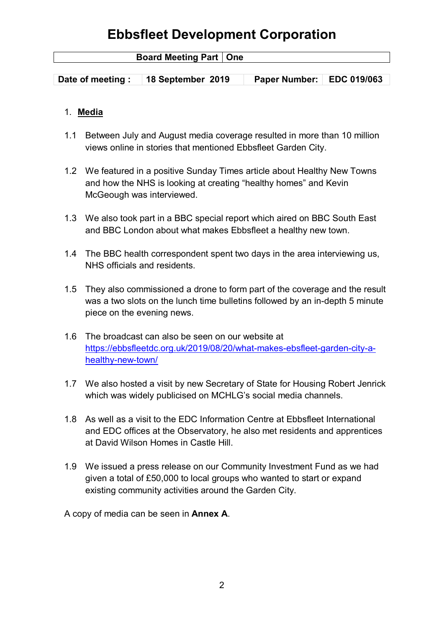| <b>Board Meeting Part   One</b> |                   |                           |  |
|---------------------------------|-------------------|---------------------------|--|
|                                 |                   |                           |  |
| Date of meeting:                | 18 September 2019 | Paper Number: EDC 019/063 |  |

### 1. **Media**

- 1.1 Between July and August media coverage resulted in more than 10 million views online in stories that mentioned Ebbsfleet Garden City.
- 1.2 We featured in a positive Sunday Times article about Healthy New Towns and how the NHS is looking at creating "healthy homes" and Kevin McGeough was interviewed.
- 1.3 We also took part in a BBC special report which aired on BBC South East and BBC London about what makes Ebbsfleet a healthy new town.
- 1.4 The BBC health correspondent spent two days in the area interviewing us, NHS officials and residents.
- 1.5 They also commissioned a drone to form part of the coverage and the result was a two slots on the lunch time bulletins followed by an in-depth 5 minute piece on the evening news.
- 1.6 The broadcast can also be seen on our website at [https://ebbsfleetdc.org.uk/2019/08/20/what-makes-ebsfleet-garden-city-a](https://ebbsfleetdc.org.uk/2019/08/20/what-makes-ebsfleet-garden-city-a-healthy-new-town/)[healthy-new-town/](https://ebbsfleetdc.org.uk/2019/08/20/what-makes-ebsfleet-garden-city-a-healthy-new-town/)
- 1.7 We also hosted a visit by new Secretary of State for Housing Robert Jenrick which was widely publicised on MCHLG's social media channels.
- 1.8 As well as a visit to the EDC Information Centre at Ebbsfleet International and EDC offices at the Observatory, he also met residents and apprentices at David Wilson Homes in Castle Hill.
- 1.9 We issued a press release on our Community Investment Fund as we had given a total of £50,000 to local groups who wanted to start or expand existing community activities around the Garden City.

A copy of media can be seen in **Annex A**.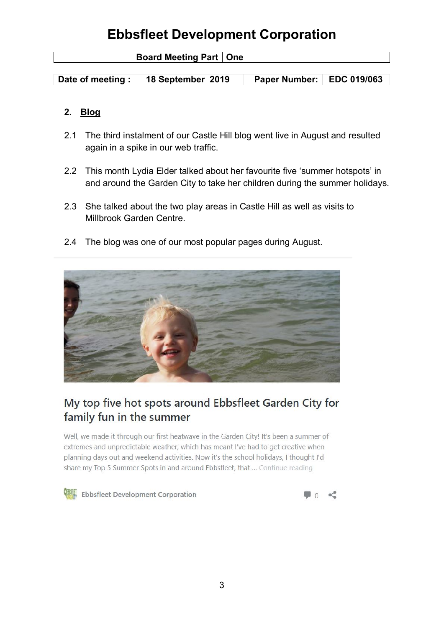| <b>Board Meeting Part   One</b> |                   |                             |  |
|---------------------------------|-------------------|-----------------------------|--|
|                                 |                   |                             |  |
| Date of meeting:                | 18 September 2019 | Paper Number:   EDC 019/063 |  |

### **2. Blog**

- 2.1 The third instalment of our Castle Hill blog went live in August and resulted again in a spike in our web traffic.
- 2.2 This month Lydia Elder talked about her favourite five 'summer hotspots' in and around the Garden City to take her children during the summer holidays.
- 2.3 She talked about the two play areas in Castle Hill as well as visits to Millbrook Garden Centre.
- 2.4 The blog was one of our most popular pages during August.



## My top five hot spots around Ebbsfleet Garden City for family fun in the summer

Well, we made it through our first heatwave in the Garden City! It's been a summer of extremes and unpredictable weather, which has meant I've had to get creative when planning days out and weekend activities. Now it's the school holidays, I thought I'd share my Top 5 Summer Spots in and around Ebbsfleet, that ... Continue reading



Ebbsfleet Development Corporation

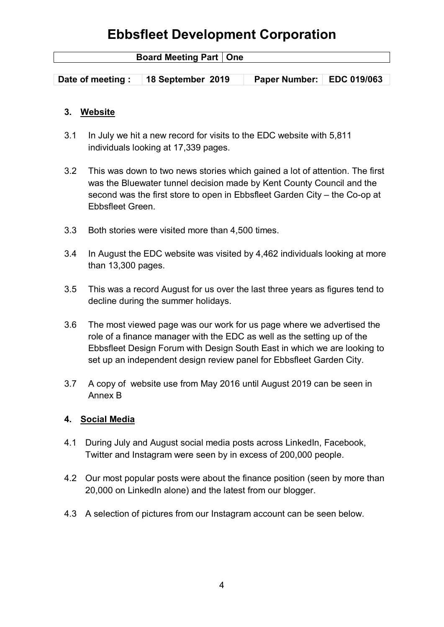| <b>Board Meeting Part   One</b> |                   |                             |  |
|---------------------------------|-------------------|-----------------------------|--|
|                                 |                   |                             |  |
| Date of meeting :               | 18 September 2019 | Paper Number:   EDC 019/063 |  |

### **3. Website**

- 3.1 In July we hit a new record for visits to the EDC website with 5,811 individuals looking at 17,339 pages.
- 3.2 This was down to two news stories which gained a lot of attention. The first was the Bluewater tunnel decision made by Kent County Council and the second was the first store to open in Ebbsfleet Garden City – the Co-op at Ebbsfleet Green.
- 3.3 Both stories were visited more than 4,500 times.
- 3.4 In August the EDC website was visited by 4,462 individuals looking at more than 13,300 pages.
- 3.5 This was a record August for us over the last three years as figures tend to decline during the summer holidays.
- 3.6 The most viewed page was our work for us page where we advertised the role of a finance manager with the EDC as well as the setting up of the Ebbsfleet Design Forum with Design South East in which we are looking to set up an independent design review panel for Ebbsfleet Garden City.
- 3.7 A copy of website use from May 2016 until August 2019 can be seen in Annex B

#### **4. Social Media**

- 4.1 During July and August social media posts across LinkedIn, Facebook, Twitter and Instagram were seen by in excess of 200,000 people.
- 4.2 Our most popular posts were about the finance position (seen by more than 20,000 on LinkedIn alone) and the latest from our blogger.
- 4.3 A selection of pictures from our Instagram account can be seen below.